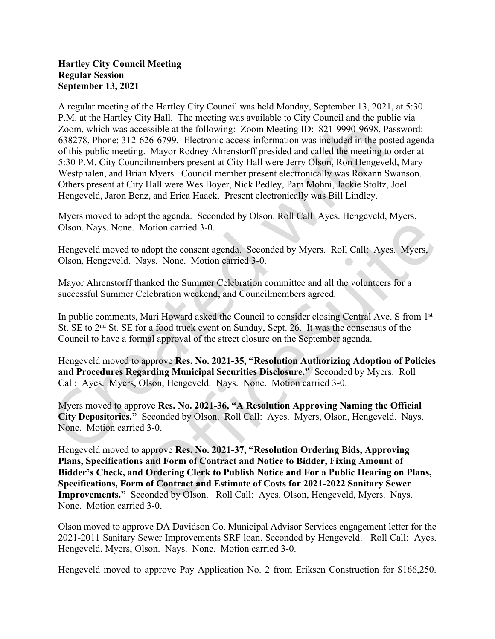## Hartley City Council Meeting Regular Session September 13, 2021

A regular meeting of the Hartley City Council was held Monday, September 13, 2021, at 5:30 P.M. at the Hartley City Hall. The meeting was available to City Council and the public via Zoom, which was accessible at the following: Zoom Meeting ID: 821-9990-9698, Password: 638278, Phone: 312-626-6799. Electronic access information was included in the posted agenda of this public meeting. Mayor Rodney Ahrenstorff presided and called the meeting to order at 5:30 P.M. City Councilmembers present at City Hall were Jerry Olson, Ron Hengeveld, Mary Westphalen, and Brian Myers. Council member present electronically was Roxann Swanson. Others present at City Hall were Wes Boyer, Nick Pedley, Pam Mohni, Jackie Stoltz, Joel Hengeveld, Jaron Benz, and Erica Haack. Present electronically was Bill Lindley.

Myers moved to adopt the agenda. Seconded by Olson. Roll Call: Ayes. Hengeveld, Myers, Olson. Nays. None. Motion carried 3-0.

Hengeveld moved to adopt the consent agenda. Seconded by Myers. Roll Call: Ayes. Myers, Olson, Hengeveld. Nays. None. Motion carried 3-0.

Mayor Ahrenstorff thanked the Summer Celebration committee and all the volunteers for a successful Summer Celebration weekend, and Councilmembers agreed.

In public comments, Mari Howard asked the Council to consider closing Central Ave. S from 1<sup>st</sup> St. SE to 2<sup>nd</sup> St. SE for a food truck event on Sunday, Sept. 26. It was the consensus of the Council to have a formal approval of the street closure on the September agenda.

Hengeveld moved to approve Res. No. 2021-35, "Resolution Authorizing Adoption of Policies and Procedures Regarding Municipal Securities Disclosure." Seconded by Myers. Roll Call: Ayes. Myers, Olson, Hengeveld. Nays. None. Motion carried 3-0.

Myers moved to approve Res. No. 2021-36, "A Resolution Approving Naming the Official City Depositories." Seconded by Olson. Roll Call: Ayes. Myers, Olson, Hengeveld. Nays. None. Motion carried 3-0.

Hengeveld moved to approve Res. No. 2021-37, "Resolution Ordering Bids, Approving Plans, Specifications and Form of Contract and Notice to Bidder, Fixing Amount of Bidder's Check, and Ordering Clerk to Publish Notice and For a Public Hearing on Plans, Specifications, Form of Contract and Estimate of Costs for 2021-2022 Sanitary Sewer Improvements." Seconded by Olson. Roll Call: Ayes. Olson, Hengeveld, Myers. Nays. None. Motion carried 3-0.

Olson moved to approve DA Davidson Co. Municipal Advisor Services engagement letter for the 2021-2011 Sanitary Sewer Improvements SRF loan. Seconded by Hengeveld. Roll Call: Ayes. Hengeveld, Myers, Olson. Nays. None. Motion carried 3-0.

Hengeveld moved to approve Pay Application No. 2 from Eriksen Construction for \$166,250.